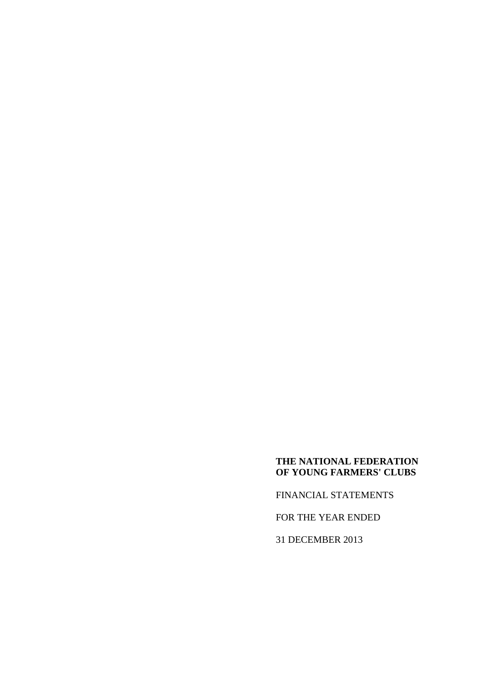FINANCIAL STATEMENTS

FOR THE YEAR ENDED

31 DECEMBER 2013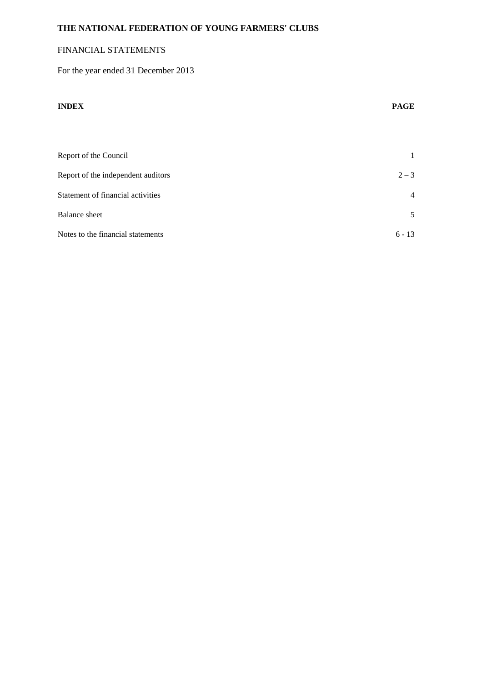# FINANCIAL STATEMENTS

For the year ended 31 December 2013

| <b>INDEX</b>                       | <b>PAGE</b>    |
|------------------------------------|----------------|
|                                    |                |
| Report of the Council              | 1              |
| Report of the independent auditors | $2 - 3$        |
| Statement of financial activities  | $\overline{4}$ |
| <b>Balance</b> sheet               | 5              |
| Notes to the financial statements  | $6 - 13$       |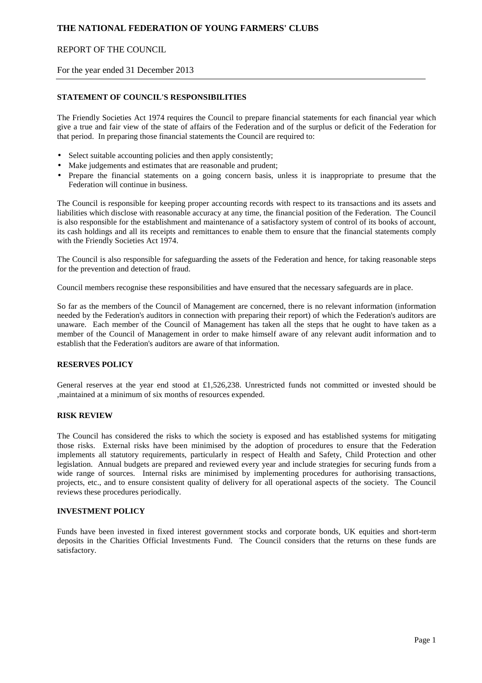# REPORT OF THE COUNCIL

For the year ended 31 December 2013

### **STATEMENT OF COUNCIL'S RESPONSIBILITIES**

The Friendly Societies Act 1974 requires the Council to prepare financial statements for each financial year which give a true and fair view of the state of affairs of the Federation and of the surplus or deficit of the Federation for that period. In preparing those financial statements the Council are required to:

- Select suitable accounting policies and then apply consistently;
- Make judgements and estimates that are reasonable and prudent;
- Prepare the financial statements on a going concern basis, unless it is inappropriate to presume that the Federation will continue in business.

The Council is responsible for keeping proper accounting records with respect to its transactions and its assets and liabilities which disclose with reasonable accuracy at any time, the financial position of the Federation. The Council is also responsible for the establishment and maintenance of a satisfactory system of control of its books of account, its cash holdings and all its receipts and remittances to enable them to ensure that the financial statements comply with the Friendly Societies Act 1974.

The Council is also responsible for safeguarding the assets of the Federation and hence, for taking reasonable steps for the prevention and detection of fraud.

Council members recognise these responsibilities and have ensured that the necessary safeguards are in place.

So far as the members of the Council of Management are concerned, there is no relevant information (information needed by the Federation's auditors in connection with preparing their report) of which the Federation's auditors are unaware. Each member of the Council of Management has taken all the steps that he ought to have taken as a member of the Council of Management in order to make himself aware of any relevant audit information and to establish that the Federation's auditors are aware of that information.

### **RESERVES POLICY**

General reserves at the year end stood at £1,526,238. Unrestricted funds not committed or invested should be ,maintained at a minimum of six months of resources expended.

### **RISK REVIEW**

The Council has considered the risks to which the society is exposed and has established systems for mitigating those risks. External risks have been minimised by the adoption of procedures to ensure that the Federation implements all statutory requirements, particularly in respect of Health and Safety, Child Protection and other legislation. Annual budgets are prepared and reviewed every year and include strategies for securing funds from a wide range of sources. Internal risks are minimised by implementing procedures for authorising transactions, projects, etc., and to ensure consistent quality of delivery for all operational aspects of the society. The Council reviews these procedures periodically.

## **INVESTMENT POLICY**

Funds have been invested in fixed interest government stocks and corporate bonds, UK equities and short-term deposits in the Charities Official Investments Fund. The Council considers that the returns on these funds are satisfactory.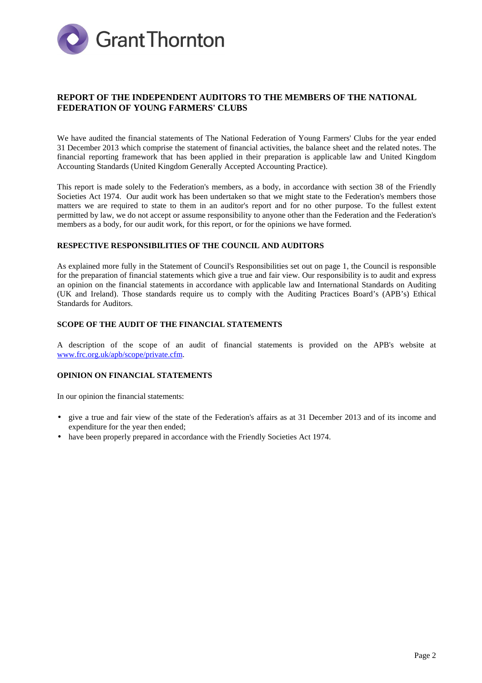

# **REPORT OF THE INDEPENDENT AUDITORS TO THE MEMBERS OF THE NATIONAL FEDERATION OF YOUNG FARMERS' CLUBS**

We have audited the financial statements of The National Federation of Young Farmers' Clubs for the year ended 31 December 2013 which comprise the statement of financial activities, the balance sheet and the related notes. The financial reporting framework that has been applied in their preparation is applicable law and United Kingdom Accounting Standards (United Kingdom Generally Accepted Accounting Practice).

This report is made solely to the Federation's members, as a body, in accordance with section 38 of the Friendly Societies Act 1974. Our audit work has been undertaken so that we might state to the Federation's members those matters we are required to state to them in an auditor's report and for no other purpose. To the fullest extent permitted by law, we do not accept or assume responsibility to anyone other than the Federation and the Federation's members as a body, for our audit work, for this report, or for the opinions we have formed.

#### **RESPECTIVE RESPONSIBILITIES OF THE COUNCIL AND AUDITORS**

As explained more fully in the Statement of Council's Responsibilities set out on page 1, the Council is responsible for the preparation of financial statements which give a true and fair view. Our responsibility is to audit and express an opinion on the financial statements in accordance with applicable law and International Standards on Auditing (UK and Ireland). Those standards require us to comply with the Auditing Practices Board's (APB's) Ethical Standards for Auditors.

### **SCOPE OF THE AUDIT OF THE FINANCIAL STATEMENTS**

A description of the scope of an audit of financial statements is provided on the APB's website at www.frc.org.uk/apb/scope/private.cfm.

### **OPINION ON FINANCIAL STATEMENTS**

In our opinion the financial statements:

- give a true and fair view of the state of the Federation's affairs as at 31 December 2013 and of its income and expenditure for the year then ended;
- have been properly prepared in accordance with the Friendly Societies Act 1974.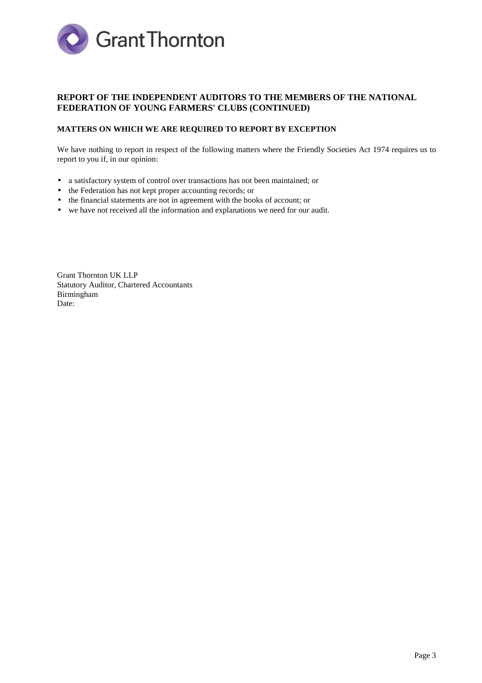

# **REPORT OF THE INDEPENDENT AUDITORS TO THE MEMBERS OF THE NATIONAL FEDERATION OF YOUNG FARMERS' CLUBS (CONTINUED)**

### **MATTERS ON WHICH WE ARE REQUIRED TO REPORT BY EXCEPTION**

We have nothing to report in respect of the following matters where the Friendly Societies Act 1974 requires us to report to you if, in our opinion:

- a satisfactory system of control over transactions has not been maintained; or
- the Federation has not kept proper accounting records; or
- the financial statements are not in agreement with the books of account; or
- we have not received all the information and explanations we need for our audit.

Grant Thornton UK LLP Statutory Auditor, Chartered Accountants Birmingham Date: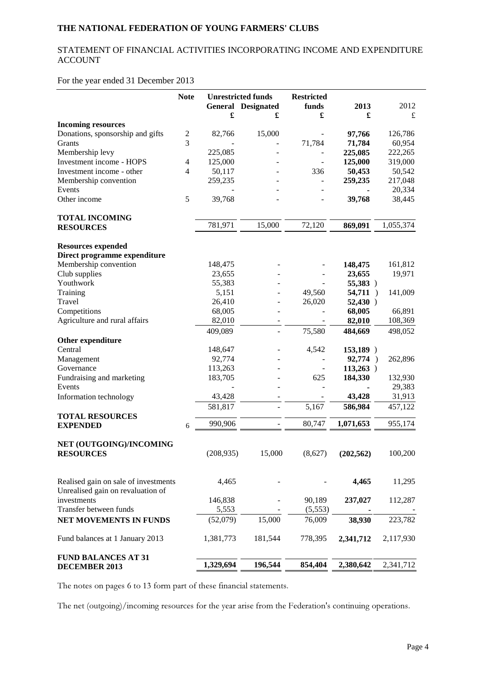# STATEMENT OF FINANCIAL ACTIVITIES INCORPORATING INCOME AND EXPENDITURE ACCOUNT

# For the year ended 31 December 2013

|                                             | <b>Note</b>    |            | <b>Unrestricted funds</b><br><b>General Designated</b> | <b>Restricted</b><br>funds | 2013       | 2012      |
|---------------------------------------------|----------------|------------|--------------------------------------------------------|----------------------------|------------|-----------|
|                                             |                | £          | £                                                      | £                          | £          | £         |
| <b>Incoming resources</b>                   |                |            |                                                        |                            |            |           |
| Donations, sponsorship and gifts            | $\mathbf{2}$   | 82,766     | 15,000                                                 |                            | 97,766     | 126,786   |
| Grants                                      | 3              |            |                                                        | 71,784                     | 71,784     | 60,954    |
| Membership levy                             |                | 225,085    |                                                        |                            | 225,085    | 222,265   |
| Investment income - HOPS                    | 4              | 125,000    |                                                        |                            | 125,000    | 319,000   |
| Investment income - other                   | $\overline{4}$ | 50,117     |                                                        | 336                        | 50,453     | 50,542    |
| Membership convention                       |                | 259,235    |                                                        |                            | 259,235    | 217,048   |
| Events                                      |                |            |                                                        |                            |            | 20,334    |
| Other income                                | 5              | 39,768     |                                                        |                            | 39,768     | 38,445    |
| <b>TOTAL INCOMING</b>                       |                |            |                                                        |                            |            |           |
| <b>RESOURCES</b>                            |                | 781,971    | 15,000                                                 | 72,120                     | 869,091    | 1,055,374 |
| <b>Resources expended</b>                   |                |            |                                                        |                            |            |           |
| Direct programme expenditure                |                |            |                                                        |                            |            |           |
| Membership convention                       |                | 148,475    |                                                        |                            | 148,475    | 161,812   |
| Club supplies                               |                | 23,655     |                                                        |                            | 23,655     | 19,971    |
| Youthwork                                   |                | 55,383     |                                                        |                            | 55,383 )   |           |
| Training                                    |                | 5,151      |                                                        | 49,560                     | 54,711)    | 141,009   |
| Travel                                      |                | 26,410     |                                                        | 26,020                     | $52,430$ ) |           |
| Competitions                                |                | 68,005     |                                                        |                            | 68,005     | 66,891    |
| Agriculture and rural affairs               |                | 82,010     |                                                        |                            | 82,010     | 108,369   |
|                                             |                | 409,089    |                                                        | 75,580                     | 484,669    | 498,052   |
| Other expenditure                           |                |            |                                                        |                            |            |           |
| Central                                     |                | 148,647    |                                                        | 4,542                      | 153,189 )  |           |
| Management                                  |                | 92,774     |                                                        |                            | 92,774 )   | 262,896   |
| Governance                                  |                | 113,263    |                                                        |                            | 113,263)   |           |
| Fundraising and marketing                   |                | 183,705    |                                                        | 625                        | 184,330    | 132,930   |
| Events                                      |                |            |                                                        |                            |            | 29,383    |
| Information technology                      |                | 43,428     |                                                        |                            | 43,428     | 31,913    |
| <b>TOTAL RESOURCES</b>                      |                | 581,817    |                                                        | 5,167                      | 586,984    | 457,122   |
| <b>EXPENDED</b>                             | 6              | 990,906    |                                                        | 80,747                     | 1,071,653  | 955,174   |
|                                             |                |            |                                                        |                            |            |           |
| NET (OUTGOING)/INCOMING<br><b>RESOURCES</b> |                | (208, 935) | 15,000                                                 | (8,627)                    | (202, 562) | 100,200   |
|                                             |                |            |                                                        |                            |            |           |
| Realised gain on sale of investments        |                | 4,465      |                                                        |                            | 4,465      | 11,295    |
| Unrealised gain on revaluation of           |                |            |                                                        |                            |            |           |
| investments                                 |                | 146,838    |                                                        | 90,189                     | 237,027    | 112,287   |
| Transfer between funds                      |                | 5,553      |                                                        | (5,553)                    |            |           |
| NET MOVEMENTS IN FUNDS                      |                | (52,079)   | 15,000                                                 | 76,009                     | 38,930     | 223,782   |
| Fund balances at 1 January 2013             |                | 1,381,773  | 181,544                                                | 778,395                    | 2,341,712  | 2,117,930 |
| <b>FUND BALANCES AT 31</b>                  |                |            |                                                        |                            |            |           |
| <b>DECEMBER 2013</b>                        |                | 1,329,694  | 196,544                                                | 854,404                    | 2,380,642  | 2,341,712 |

The notes on pages 6 to 13 form part of these financial statements.

The net (outgoing)/incoming resources for the year arise from the Federation's continuing operations.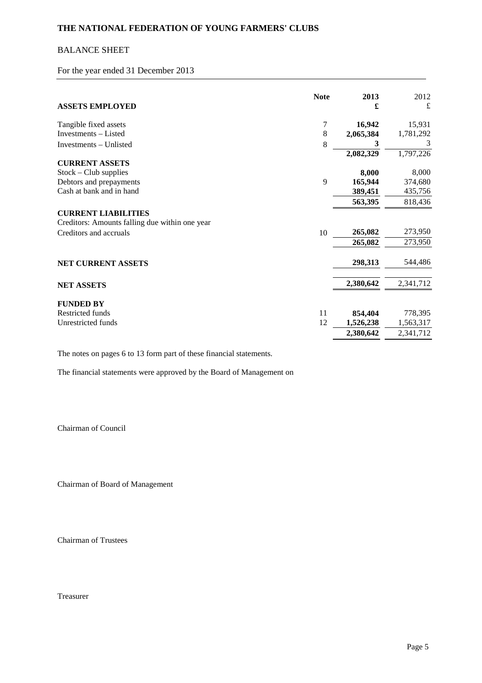# BALANCE SHEET

For the year ended 31 December 2013

| <b>ASSETS EMPLOYED</b>                                                       | <b>Note</b> | 2013<br>£ | 2012<br>£ |
|------------------------------------------------------------------------------|-------------|-----------|-----------|
| Tangible fixed assets                                                        | 7           | 16,942    | 15,931    |
| Investments - Listed                                                         | 8           | 2,065,384 | 1,781,292 |
| Investments – Unlisted                                                       | 8           | 3         | 3         |
|                                                                              |             | 2,082,329 | 1,797,226 |
| <b>CURRENT ASSETS</b>                                                        |             |           |           |
| $Stock - Club$ supplies                                                      |             | 8,000     | 8,000     |
| Debtors and prepayments                                                      | 9           | 165,944   | 374,680   |
| Cash at bank and in hand                                                     |             | 389,451   | 435,756   |
|                                                                              |             | 563,395   | 818,436   |
| <b>CURRENT LIABILITIES</b><br>Creditors: Amounts falling due within one year |             |           |           |
| Creditors and accruals                                                       | 10          | 265,082   | 273,950   |
|                                                                              |             | 265,082   | 273,950   |
| <b>NET CURRENT ASSETS</b>                                                    |             | 298,313   | 544,486   |
| <b>NET ASSETS</b>                                                            |             | 2,380,642 | 2,341,712 |
| <b>FUNDED BY</b>                                                             |             |           |           |
| Restricted funds                                                             | 11          | 854,404   | 778,395   |
| Unrestricted funds                                                           | 12          | 1,526,238 | 1,563,317 |
|                                                                              |             | 2,380,642 | 2,341,712 |
|                                                                              |             |           |           |

The notes on pages 6 to 13 form part of these financial statements.

The financial statements were approved by the Board of Management on

Chairman of Council

Chairman of Board of Management

Chairman of Trustees

Treasurer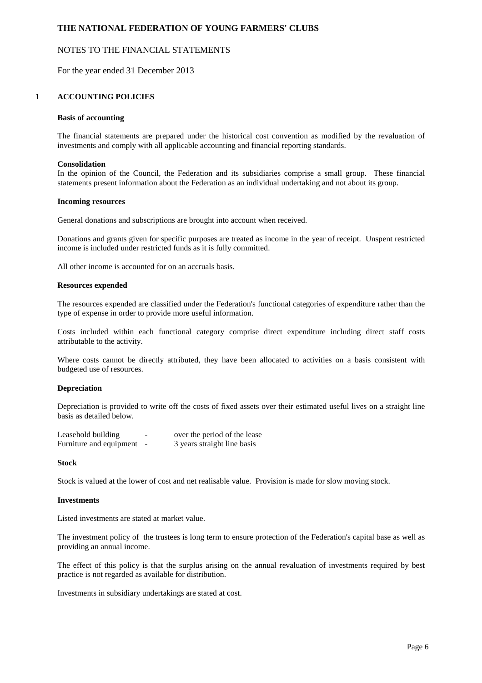## NOTES TO THE FINANCIAL STATEMENTS

### For the year ended 31 December 2013

#### **1 ACCOUNTING POLICIES**

#### **Basis of accounting**

The financial statements are prepared under the historical cost convention as modified by the revaluation of investments and comply with all applicable accounting and financial reporting standards.

#### **Consolidation**

In the opinion of the Council, the Federation and its subsidiaries comprise a small group. These financial statements present information about the Federation as an individual undertaking and not about its group.

#### **Incoming resources**

General donations and subscriptions are brought into account when received.

Donations and grants given for specific purposes are treated as income in the year of receipt. Unspent restricted income is included under restricted funds as it is fully committed.

All other income is accounted for on an accruals basis.

#### **Resources expended**

The resources expended are classified under the Federation's functional categories of expenditure rather than the type of expense in order to provide more useful information.

Costs included within each functional category comprise direct expenditure including direct staff costs attributable to the activity.

Where costs cannot be directly attributed, they have been allocated to activities on a basis consistent with budgeted use of resources.

### **Depreciation**

Depreciation is provided to write off the costs of fixed assets over their estimated useful lives on a straight line basis as detailed below.

| Leasehold building      | - | over the period of the lease |
|-------------------------|---|------------------------------|
| Furniture and equipment |   | 3 years straight line basis  |

#### **Stock**

Stock is valued at the lower of cost and net realisable value. Provision is made for slow moving stock.

#### **Investments**

Listed investments are stated at market value.

The investment policy of the trustees is long term to ensure protection of the Federation's capital base as well as providing an annual income.

The effect of this policy is that the surplus arising on the annual revaluation of investments required by best practice is not regarded as available for distribution.

Investments in subsidiary undertakings are stated at cost.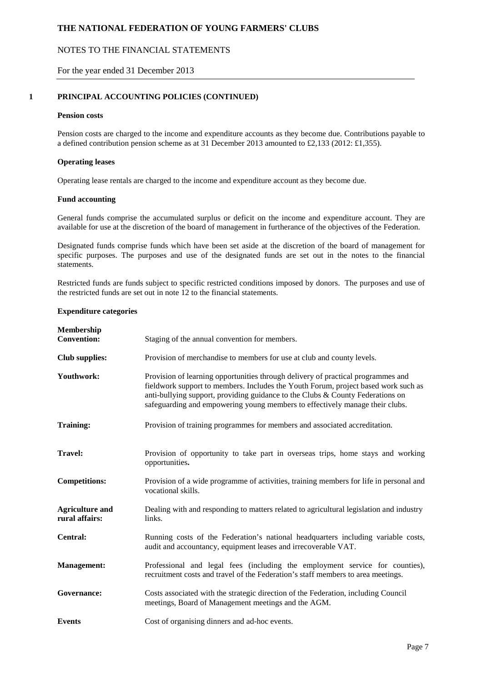# NOTES TO THE FINANCIAL STATEMENTS

For the year ended 31 December 2013

### **1 PRINCIPAL ACCOUNTING POLICIES (CONTINUED)**

#### **Pension costs**

Pension costs are charged to the income and expenditure accounts as they become due. Contributions payable to a defined contribution pension scheme as at 31 December 2013 amounted to £2,133 (2012: £1,355).

#### **Operating leases**

Operating lease rentals are charged to the income and expenditure account as they become due.

### **Fund accounting**

General funds comprise the accumulated surplus or deficit on the income and expenditure account. They are available for use at the discretion of the board of management in furtherance of the objectives of the Federation.

Designated funds comprise funds which have been set aside at the discretion of the board of management for specific purposes. The purposes and use of the designated funds are set out in the notes to the financial statements.

Restricted funds are funds subject to specific restricted conditions imposed by donors. The purposes and use of the restricted funds are set out in note 12 to the financial statements.

#### **Expenditure categories**

| Membership<br><b>Convention:</b>         | Staging of the annual convention for members.                                                                                                                                                                                                                                                                                              |
|------------------------------------------|--------------------------------------------------------------------------------------------------------------------------------------------------------------------------------------------------------------------------------------------------------------------------------------------------------------------------------------------|
| <b>Club</b> supplies:                    | Provision of merchandise to members for use at club and county levels.                                                                                                                                                                                                                                                                     |
| Youthwork:                               | Provision of learning opportunities through delivery of practical programmes and<br>fieldwork support to members. Includes the Youth Forum, project based work such as<br>anti-bullying support, providing guidance to the Clubs $&$ County Federations on<br>safeguarding and empowering young members to effectively manage their clubs. |
| <b>Training:</b>                         | Provision of training programmes for members and associated accreditation.                                                                                                                                                                                                                                                                 |
| <b>Travel:</b>                           | Provision of opportunity to take part in overseas trips, home stays and working<br>opportunities.                                                                                                                                                                                                                                          |
| <b>Competitions:</b>                     | Provision of a wide programme of activities, training members for life in personal and<br>vocational skills.                                                                                                                                                                                                                               |
| <b>Agriculture and</b><br>rural affairs: | Dealing with and responding to matters related to agricultural legislation and industry<br>links.                                                                                                                                                                                                                                          |
| Central:                                 | Running costs of the Federation's national headquarters including variable costs,<br>audit and accountancy, equipment leases and irrecoverable VAT.                                                                                                                                                                                        |
| <b>Management:</b>                       | Professional and legal fees (including the employment service for counties),<br>recruitment costs and travel of the Federation's staff members to area meetings.                                                                                                                                                                           |
| Governance:                              | Costs associated with the strategic direction of the Federation, including Council<br>meetings, Board of Management meetings and the AGM.                                                                                                                                                                                                  |
| <b>Events</b>                            | Cost of organising dinners and ad-hoc events.                                                                                                                                                                                                                                                                                              |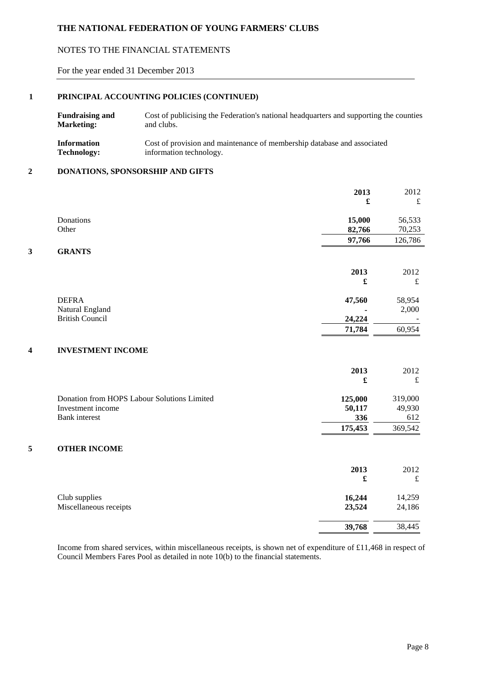# NOTES TO THE FINANCIAL STATEMENTS

For the year ended 31 December 2013

## **1 PRINCIPAL ACCOUNTING POLICIES (CONTINUED)**

| <b>Fundraising and</b> | Cost of publicising the Federation's national headquarters and supporting the counties |
|------------------------|----------------------------------------------------------------------------------------|
| <b>Marketing:</b>      | and clubs.                                                                             |
| <b>Information</b>     | Cost of provision and maintenance of membership database and associated                |
| <b>Technology:</b>     | information technology.                                                                |

### **2 DONATIONS, SPONSORSHIP AND GIFTS**

|   |                                             | 2013                 | 2012      |
|---|---------------------------------------------|----------------------|-----------|
|   |                                             | £                    | $\pounds$ |
|   | Donations                                   | 15,000               | 56,533    |
|   | Other                                       | 82,766               | 70,253    |
|   |                                             | 97,766               | 126,786   |
| 3 | <b>GRANTS</b>                               |                      |           |
|   |                                             | 2013                 | 2012      |
|   |                                             | £                    | £         |
|   | <b>DEFRA</b>                                | 47,560               | 58,954    |
|   | Natural England                             |                      | 2,000     |
|   | <b>British Council</b>                      | 24,224               |           |
|   |                                             | 71,784               | 60,954    |
| 4 | <b>INVESTMENT INCOME</b>                    |                      |           |
|   |                                             | 2013                 | 2012      |
|   |                                             | £                    | $\pounds$ |
|   | Donation from HOPS Labour Solutions Limited | 125,000              | 319,000   |
|   | Investment income                           | 50,117               | 49,930    |
|   | <b>Bank</b> interest                        | 336                  | 612       |
|   |                                             | 175,453              | 369,542   |
| 5 | <b>OTHER INCOME</b>                         |                      |           |
|   |                                             |                      |           |
|   |                                             | 2013                 | 2012      |
|   |                                             | $\pmb{\mathfrak{L}}$ | $\pounds$ |
|   | Club supplies                               | 16,244               | 14,259    |
|   | Miscellaneous receipts                      | 23,524               | 24,186    |
|   |                                             | 39,768               | 38,445    |

Income from shared services, within miscellaneous receipts, is shown net of expenditure of £11,468 in respect of Council Members Fares Pool as detailed in note 10(b) to the financial statements.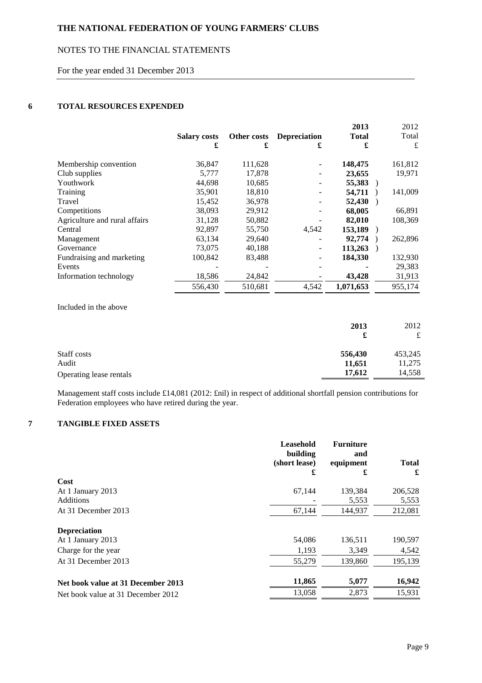# NOTES TO THE FINANCIAL STATEMENTS

For the year ended 31 December 2013

# **6 TOTAL RESOURCES EXPENDED**

|                               |                     |             |                     | 2013         | 2012    |
|-------------------------------|---------------------|-------------|---------------------|--------------|---------|
|                               | <b>Salary costs</b> | Other costs | <b>Depreciation</b> | <b>Total</b> | Total   |
|                               | £                   | £           | £                   | £            | £       |
| Membership convention         | 36,847              | 111,628     |                     | 148,475      | 161,812 |
| Club supplies                 | 5,777               | 17,878      |                     | 23,655       | 19,971  |
| Youthwork                     | 44,698              | 10,685      |                     | 55,383       |         |
| Training                      | 35,901              | 18,810      |                     | 54,711       | 141,009 |
| Travel                        | 15,452              | 36,978      |                     | 52,430       |         |
| Competitions                  | 38,093              | 29,912      |                     | 68,005       | 66,891  |
| Agriculture and rural affairs | 31,128              | 50,882      |                     | 82,010       | 108,369 |
| Central                       | 92,897              | 55,750      | 4,542               | 153.189      |         |
| Management                    | 63,134              | 29,640      |                     | 92,774       | 262,896 |
| Governance                    | 73,075              | 40,188      | Ξ.                  | 113,263      |         |
| Fundraising and marketing     | 100,842             | 83,488      |                     | 184,330      | 132,930 |
| Events                        |                     |             |                     |              | 29,383  |
| Information technology        | 18,586              | 24,842      |                     | 43,428       | 31,913  |
|                               | 556,430             | 510,681     | 4,542               | 1,071,653    | 955,174 |

Included in the above

|                         | 2013<br>£ | 2012<br>£ |
|-------------------------|-----------|-----------|
| Staff costs             | 556,430   | 453,245   |
| Audit                   | 11,651    | 11,275    |
| Operating lease rentals | 17,612    | 14,558    |

Management staff costs include £14,081 (2012: £nil) in respect of additional shortfall pension contributions for Federation employees who have retired during the year.

# **7 TANGIBLE FIXED ASSETS**

|                                    | Leasehold<br>building<br>(short lease)<br>£ | <b>Furniture</b><br>and<br>equipment<br>£ | <b>Total</b><br>£ |
|------------------------------------|---------------------------------------------|-------------------------------------------|-------------------|
| Cost                               |                                             |                                           |                   |
| At 1 January 2013                  | 67,144                                      | 139,384                                   | 206,528           |
| <b>Additions</b>                   |                                             | 5,553                                     | 5,553             |
| At 31 December 2013                | 67,144                                      | 144,937                                   | 212,081           |
| <b>Depreciation</b>                |                                             |                                           |                   |
| At 1 January 2013                  | 54,086                                      | 136,511                                   | 190,597           |
| Charge for the year                | 1,193                                       | 3,349                                     | 4,542             |
| At 31 December 2013                | 55,279                                      | 139,860                                   | 195,139           |
| Net book value at 31 December 2013 | 11,865                                      | 5,077                                     | 16,942            |
| Net book value at 31 December 2012 | 13,058                                      | 2,873                                     | 15,931            |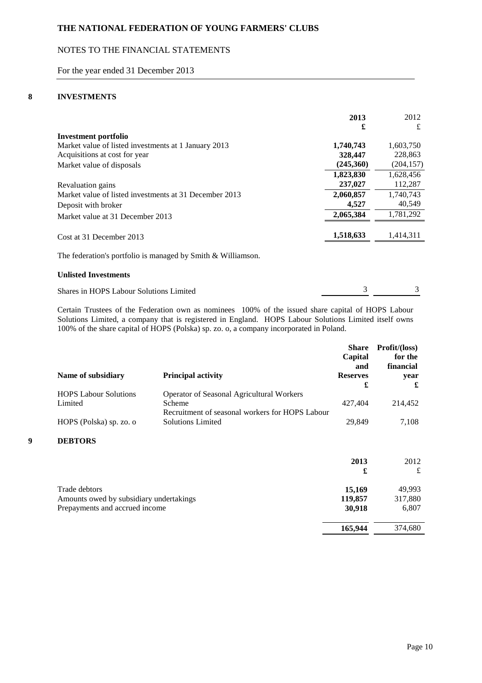# NOTES TO THE FINANCIAL STATEMENTS

For the year ended 31 December 2013

## **8 INVESTMENTS**

|                                                                              | 2013<br>£ | 2012<br>£  |
|------------------------------------------------------------------------------|-----------|------------|
| Investment portfolio<br>Market value of listed investments at 1 January 2013 | 1,740,743 | 1,603,750  |
| Acquisitions at cost for year                                                | 328,447   | 228,863    |
| Market value of disposals                                                    | (245,360) | (204, 157) |
|                                                                              | 1,823,830 | 1,628,456  |
| Revaluation gains                                                            | 237,027   | 112,287    |
| Market value of listed investments at 31 December 2013                       | 2,060,857 | 1.740.743  |
| Deposit with broker                                                          | 4,527     | 40,549     |
| Market value at 31 December 2013                                             | 2,065,384 | 1,781,292  |
| Cost at 31 December 2013                                                     | 1,518,633 | 1,414,311  |
| The federation's portfolio is managed by Smith & Williamson.                 |           |            |

## **Unlisted Investments**

| Shares in HOPS Labour Solutions Limited |  |
|-----------------------------------------|--|
|                                         |  |

Certain Trustees of the Federation own as nominees 100% of the issued share capital of HOPS Labour Solutions Limited, a company that is registered in England. HOPS Labour Solutions Limited itself owns 100% of the share capital of HOPS (Polska) sp. zo. o, a company incorporated in Poland.

|   |                                         |                                                                             | <b>Share</b><br>Capital<br>and | Profit/(loss)<br>for the<br>financial |
|---|-----------------------------------------|-----------------------------------------------------------------------------|--------------------------------|---------------------------------------|
|   | Name of subsidiary                      | <b>Principal activity</b>                                                   | <b>Reserves</b><br>£           | year<br>£                             |
|   | <b>HOPS Labour Solutions</b>            | Operator of Seasonal Agricultural Workers                                   |                                |                                       |
|   | Limited                                 | Scheme                                                                      | 427,404                        | 214,452                               |
|   | HOPS (Polska) sp. zo. o                 | Recruitment of seasonal workers for HOPS Labour<br><b>Solutions Limited</b> | 29,849                         | 7,108                                 |
| 9 | <b>DEBTORS</b>                          |                                                                             |                                |                                       |
|   |                                         |                                                                             | 2013                           | 2012                                  |
|   |                                         |                                                                             | £                              | £                                     |
|   | Trade debtors                           |                                                                             | 15,169                         | 49,993                                |
|   | Amounts owed by subsidiary undertakings |                                                                             |                                | 317,880                               |
|   | Prepayments and accrued income          |                                                                             | 30,918                         | 6,807                                 |
|   |                                         |                                                                             | 165,944                        | 374,680                               |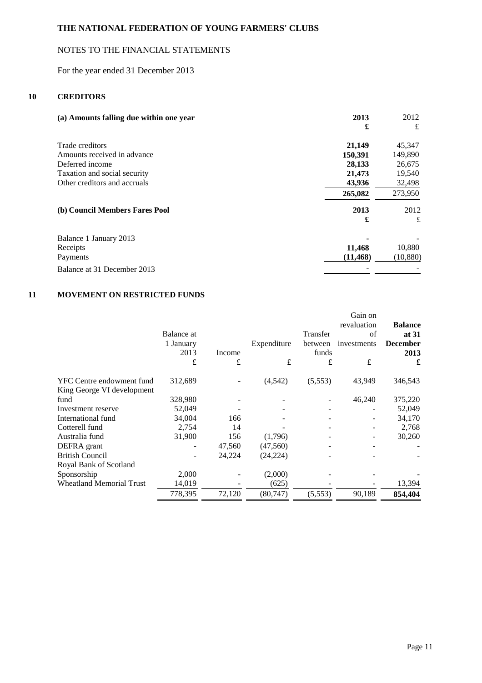# NOTES TO THE FINANCIAL STATEMENTS

For the year ended 31 December 2013

## **10 CREDITORS**

| (a) Amounts falling due within one year        | 2013<br>£         | 2012<br>£         |
|------------------------------------------------|-------------------|-------------------|
| Trade creditors<br>Amounts received in advance | 21,149<br>150,391 | 45,347<br>149,890 |
| Deferred income                                | 28,133            | 26,675            |
| Taxation and social security                   | 21,473            | 19,540            |
| Other creditors and accruals                   | 43,936            | 32,498            |
|                                                | 265,082           | 273,950           |
| (b) Council Members Fares Pool                 | 2013<br>£         | 2012<br>£         |
| Balance 1 January 2013                         |                   |                   |
| Receipts                                       | 11,468            | 10,880            |
| Payments                                       | (11, 468)         | (10, 880)         |
| Balance at 31 December 2013                    |                   |                   |

# **11 MOVEMENT ON RESTRICTED FUNDS**

|                                 |            |        |             |          | Gain on     |                 |
|---------------------------------|------------|--------|-------------|----------|-------------|-----------------|
|                                 |            |        |             |          | revaluation | <b>Balance</b>  |
|                                 | Balance at |        |             | Transfer | of          | at 31           |
|                                 | 1 January  |        | Expenditure | between  | investments | <b>December</b> |
|                                 | 2013       | Income |             | funds    |             | 2013            |
|                                 | £          | £      | £           | £        | £           | £               |
| YFC Centre endowment fund       | 312,689    |        | (4, 542)    | (5,553)  | 43,949      | 346,543         |
| King George VI development      |            |        |             |          |             |                 |
| fund                            | 328,980    |        |             |          | 46,240      | 375,220         |
| Investment reserve              | 52,049     |        |             |          |             | 52,049          |
| International fund              | 34,004     | 166    |             |          |             | 34,170          |
| Cotterell fund                  | 2,754      | 14     |             |          |             | 2,768           |
| Australia fund                  | 31,900     | 156    | (1,796)     |          |             | 30,260          |
| DEFRA grant                     |            | 47,560 | (47,560)    |          |             |                 |
| <b>British Council</b>          |            | 24,224 | (24, 224)   |          |             |                 |
| Royal Bank of Scotland          |            |        |             |          |             |                 |
| Sponsorship                     | 2,000      |        | (2,000)     |          |             |                 |
| <b>Wheatland Memorial Trust</b> | 14,019     |        | (625)       |          |             | 13,394          |
|                                 | 778,395    | 72,120 | (80, 747)   | (5,553)  | 90,189      | 854,404         |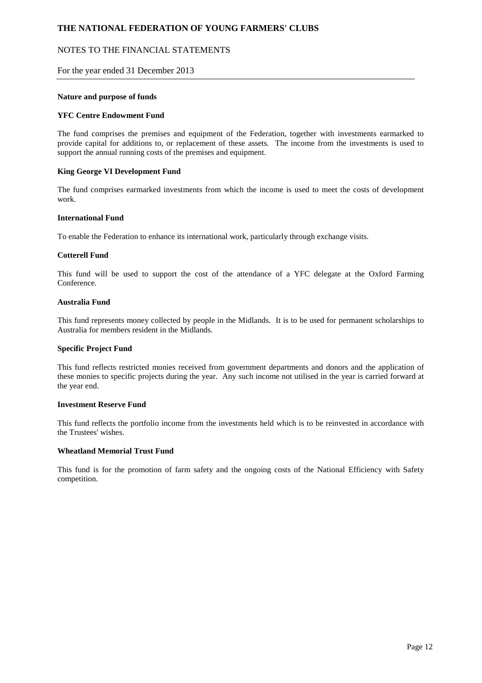## NOTES TO THE FINANCIAL STATEMENTS

### For the year ended 31 December 2013

### **Nature and purpose of funds**

#### **YFC Centre Endowment Fund**

The fund comprises the premises and equipment of the Federation, together with investments earmarked to provide capital for additions to, or replacement of these assets. The income from the investments is used to support the annual running costs of the premises and equipment.

#### **King George VI Development Fund**

The fund comprises earmarked investments from which the income is used to meet the costs of development work.

#### **International Fund**

To enable the Federation to enhance its international work, particularly through exchange visits.

#### **Cotterell Fund**

This fund will be used to support the cost of the attendance of a YFC delegate at the Oxford Farming Conference.

#### **Australia Fund**

This fund represents money collected by people in the Midlands. It is to be used for permanent scholarships to Australia for members resident in the Midlands.

#### **Specific Project Fund**

This fund reflects restricted monies received from government departments and donors and the application of these monies to specific projects during the year. Any such income not utilised in the year is carried forward at the year end.

#### **Investment Reserve Fund**

This fund reflects the portfolio income from the investments held which is to be reinvested in accordance with the Trustees' wishes.

#### **Wheatland Memorial Trust Fund**

This fund is for the promotion of farm safety and the ongoing costs of the National Efficiency with Safety competition.